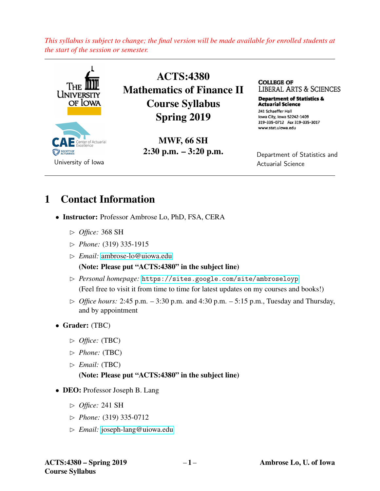*This syllabus is subject to change; the final version will be made available for enrolled students at the start of the session or semester.*



## 1 Contact Information

- Instructor: Professor Ambrose Lo, PhD, FSA, CERA
	- ✄ *Office:* 368 SH
	- ✄ *Phone:* (319) 335-1915
	- ✄ *Email:* [ambrose-lo@uiowa.edu](mailto:ambrose-lo@uiowa.edu)

(Note: Please put "ACTS:4380" in the subject line)

- ✄ *Personal homepage:* <https://sites.google.com/site/ambroseloyp> (Feel free to visit it from time to time for latest updates on my courses and books!)
- $\triangleright$  *Office hours:* 2:45 p.m. 3:30 p.m. and 4:30 p.m. 5:15 p.m., Tuesday and Thursday, and by appointment
- Grader: (TBC)
	- ✄ *Office:* (TBC)
	- ✄ *Phone:* (TBC)
	- ✄ *Email:* (TBC)

#### (Note: Please put "ACTS:4380" in the subject line)

- DEO: Professor Joseph B. Lang
	- ✄ *Office:* 241 SH
	- ✄ *Phone:* (319) 335-0712
	- ✄ *Email:* [joseph-lang@uiowa.edu](mailto:joseph-lang@uiowa.edu)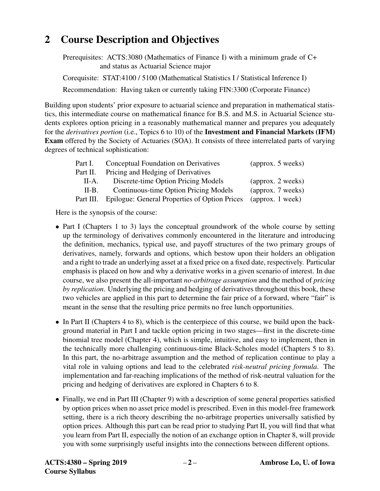# 2 Course Description and Objectives

Prerequisites: ACTS:3080 (Mathematics of Finance I) with a minimum grade of C+ and status as Actuarial Science major

Corequisite: STAT:4100 / 5100 (Mathematical Statistics I / Statistical Inference I) Recommendation: Having taken or currently taking FIN:3300 (Corporate Finance)

Building upon students' prior exposure to actuarial science and preparation in mathematical statistics, this intermediate course on mathematical finance for B.S. and M.S. in Actuarial Science students explores option pricing in a reasonably mathematical manner and prepares you adequately for the *derivatives portion* (i.e., Topics 6 to 10) of the Investment and Financial Markets (IFM) Exam offered by the Society of Actuaries (SOA). It consists of three interrelated parts of varying degrees of technical sophistication:

| Part I.   | Conceptual Foundation on Derivatives          | (approx. 5 weeks) |  |  |
|-----------|-----------------------------------------------|-------------------|--|--|
| Part II.  | Pricing and Hedging of Derivatives            |                   |  |  |
| $II-A.$   | Discrete-time Option Pricing Models           | (approx. 2 weeks) |  |  |
| II-B.     | Continuous-time Option Pricing Models         | (approx. 7 weeks) |  |  |
| Part III. | Epilogue: General Properties of Option Prices | (approx. 1 week)  |  |  |

Here is the synopsis of the course:

- Part I (Chapters 1 to 3) lays the conceptual groundwork of the whole course by setting up the terminology of derivatives commonly encountered in the literature and introducing the definition, mechanics, typical use, and payoff structures of the two primary groups of derivatives, namely, forwards and options, which bestow upon their holders an obligation and a right to trade an underlying asset at a fixed price on a fixed date, respectively. Particular emphasis is placed on how and why a derivative works in a given scenario of interest. In due course, we also present the all-important *no-arbitrage assumption* and the method of *pricing by replication*. Underlying the pricing and hedging of derivatives throughout this book, these two vehicles are applied in this part to determine the fair price of a forward, where "fair" is meant in the sense that the resulting price permits no free lunch opportunities.
- In Part II (Chapters 4 to 8), which is the centerpiece of this course, we build upon the background material in Part I and tackle option pricing in two stages—first in the discrete-time binomial tree model (Chapter 4), which is simple, intuitive, and easy to implement, then in the technically more challenging continuous-time Black-Scholes model (Chapters 5 to 8). In this part, the no-arbitrage assumption and the method of replication continue to play a vital role in valuing options and lead to the celebrated *risk-neutral pricing formula*. The implementation and far-reaching implications of the method of risk-neutral valuation for the pricing and hedging of derivatives are explored in Chapters 6 to 8.
- Finally, we end in Part III (Chapter 9) with a description of some general properties satisfied by option prices when no asset price model is prescribed. Even in this model-free framework setting, there is a rich theory describing the no-arbitrage properties universally satisfied by option prices. Although this part can be read prior to studying Part II, you will find that what you learn from Part II, especially the notion of an exchange option in Chapter 8, will provide you with some surprisingly useful insights into the connections between different options.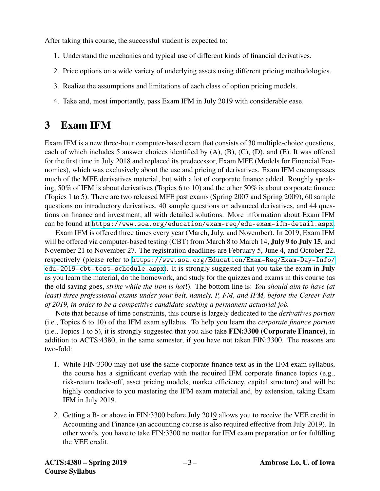After taking this course, the successful student is expected to:

- 1. Understand the mechanics and typical use of different kinds of financial derivatives.
- 2. Price options on a wide variety of underlying assets using different pricing methodologies.
- 3. Realize the assumptions and limitations of each class of option pricing models.
- 4. Take and, most importantly, pass Exam IFM in July 2019 with considerable ease.

# 3 Exam IFM

Exam IFM is a new three-hour computer-based exam that consists of 30 multiple-choice questions, each of which includes 5 answer choices identified by (A), (B), (C), (D), and (E). It was offered for the first time in July 2018 and replaced its predecessor, Exam MFE (Models for Financial Economics), which was exclusively about the use and pricing of derivatives. Exam IFM encompasses much of the MFE derivatives material, but with a lot of corporate finance added. Roughly speaking, 50% of IFM is about derivatives (Topics 6 to 10) and the other 50% is about corporate finance (Topics 1 to 5). There are two released MFE past exams (Spring 2007 and Spring 2009), 60 sample questions on introductory derivatives, 40 sample questions on advanced derivatives, and 44 questions on finance and investment, all with detailed solutions. More information about Exam IFM can be found at <https://www.soa.org/education/exam-req/edu-exam-ifm-detail.aspx>.

Exam IFM is offered three times every year (March, July, and November). In 2019, Exam IFM will be offered via computer-based testing (CBT) from March 8 to March 14, **July 9 to July 15**, and November 21 to November 27. The registration deadlines are February 5, June 4, and October 22, respectively (please refer to [https://www.soa.org/Education/Exam-Req/Exam-Day-Info/](https://www.soa.org/Education/Exam-Req/Exam-Day-Info/edu-2019-cbt-test-schedule.aspx) [edu-2019-cbt-test-schedule.aspx](https://www.soa.org/Education/Exam-Req/Exam-Day-Info/edu-2019-cbt-test-schedule.aspx)). It is strongly suggested that you take the exam in July as you learn the material, do the homework, and study for the quizzes and exams in this course (as the old saying goes, *strike while the iron is hot*!). The bottom line is: *You should aim to have (at least) three professional exams under your belt, namely, P, FM, and IFM, before the Career Fair of 2019, in order to be a competitive candidate seeking a permanent actuarial job.*

Note that because of time constraints, this course is largely dedicated to the *derivatives portion* (i.e., Topics 6 to 10) of the IFM exam syllabus. To help you learn the *corporate finance portion* (i.e., Topics 1 to 5), it is strongly suggested that you also take FIN:3300 (Corporate Finance), in addition to ACTS:4380, in the same semester, if you have not taken FIN:3300. The reasons are two-fold:

- 1. While FIN:3300 may not use the same corporate finance text as in the IFM exam syllabus, the course has a significant overlap with the required IFM corporate finance topics (e.g., risk-return trade-off, asset pricing models, market efficiency, capital structure) and will be highly conducive to you mastering the IFM exam material and, by extension, taking Exam IFM in July 2019.
- 2. Getting a B- or above in FIN:3300 before July 2019 allows you to receive the VEE credit in Accounting and Finance (an accounting course is also required effective from July 2019). In other words, you have to take FIN:3300 no matter for IFM exam preparation or for fulfilling the VEE credit.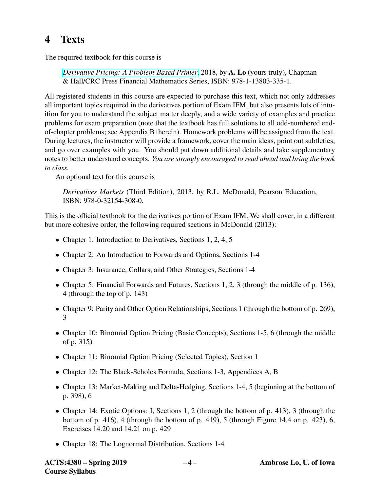# 4 Texts

The required textbook for this course is

*[Derivative Pricing: A Problem-Based Primer](https://www.crcpress.com/Derivative-Pricing-A-Problem-Based-Primer/Lo/p/book/9781138033351)*, 2018, by A. Lo (yours truly), Chapman & Hall/CRC Press Financial Mathematics Series, ISBN: 978-1-13803-335-1.

All registered students in this course are expected to purchase this text, which not only addresses all important topics required in the derivatives portion of Exam IFM, but also presents lots of intuition for you to understand the subject matter deeply, and a wide variety of examples and practice problems for exam preparation (note that the textbook has full solutions to all odd-numbered endof-chapter problems; see Appendix B therein). Homework problems will be assigned from the text. During lectures, the instructor will provide a framework, cover the main ideas, point out subtleties, and go over examples with you. You should put down additional details and take supplementary notes to better understand concepts. *You are strongly encouraged to read ahead and bring the book to class.*

An optional text for this course is

*Derivatives Markets* (Third Edition), 2013, by R.L. McDonald, Pearson Education, ISBN: 978-0-32154-308-0.

This is the official textbook for the derivatives portion of Exam IFM. We shall cover, in a different but more cohesive order, the following required sections in McDonald (2013):

- Chapter 1: Introduction to Derivatives, Sections 1, 2, 4, 5
- Chapter 2: An Introduction to Forwards and Options, Sections 1-4
- Chapter 3: Insurance, Collars, and Other Strategies, Sections 1-4
- Chapter 5: Financial Forwards and Futures, Sections 1, 2, 3 (through the middle of p. 136), 4 (through the top of p. 143)
- Chapter 9: Parity and Other Option Relationships, Sections 1 (through the bottom of p. 269), 3
- Chapter 10: Binomial Option Pricing (Basic Concepts), Sections 1-5, 6 (through the middle of p. 315)
- Chapter 11: Binomial Option Pricing (Selected Topics), Section 1
- Chapter 12: The Black-Scholes Formula, Sections 1-3, Appendices A, B
- Chapter 13: Market-Making and Delta-Hedging, Sections 1-4, 5 (beginning at the bottom of p. 398), 6
- Chapter 14: Exotic Options: I, Sections 1, 2 (through the bottom of p. 413), 3 (through the bottom of p. 416), 4 (through the bottom of p. 419), 5 (through Figure 14.4 on p. 423), 6, Exercises 14.20 and 14.21 on p. 429
- Chapter 18: The Lognormal Distribution, Sections 1-4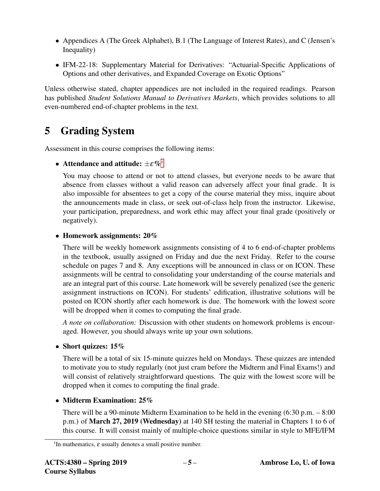- Appendices A (The Greek Alphabet), B.1 (The Language of Interest Rates), and C (Jensen's Inequality)
- IFM-22-18: Supplementary Material for Derivatives: "Actuarial-Specific Applications of Options and other derivatives, and Expanded Coverage on Exotic Options"

Unless otherwise stated, chapter appendices are not included in the required readings. Pearson has published *Student Solutions Manual to Derivatives Markets*, which provides solutions to all even-numbered end-of-chapter problems in the text.

## 5 Grading System

Assessment in this course comprises the following items:

### • Attendance and att[i](#page-4-0)tude:  $\pm \varepsilon \%$ <sup>i</sup>

You may choose to attend or not to attend classes, but everyone needs to be aware that absence from classes without a valid reason can adversely affect your final grade. It is also impossible for absentees to get a copy of the course material they miss, inquire about the announcements made in class, or seek out-of-class help from the instructor. Likewise, your participation, preparedness, and work ethic may affect your final grade (positively or negatively).

### • Homework assignments: 20%

There will be weekly homework assignments consisting of 4 to 6 end-of-chapter problems in the textbook, usually assigned on Friday and due the next Friday. Refer to the course schedule on pages 7 and 8. Any exceptions will be announced in class or on ICON. These assignments will be central to consolidating your understanding of the course materials and are an integral part of this course. Late homework will be severely penalized (see the generic assignment instructions on ICON). For students' edification, illustrative solutions will be posted on ICON shortly after each homework is due. The homework with the lowest score will be dropped when it comes to computing the final grade.

*A note on collaboration:* Discussion with other students on homework problems is encouraged. However, you should always write up your own solutions.

### • Short quizzes: 15%

There will be a total of six 15-minute quizzes held on Mondays. These quizzes are intended to motivate you to study regularly (not just cram before the Midterm and Final Exams!) and will consist of relatively straightforward questions. The quiz with the lowest score will be dropped when it comes to computing the final grade.

### • Midterm Examination: 25%

There will be a 90-minute Midterm Examination to be held in the evening (6:30 p.m. – 8:00 p.m.) of March 27, 2019 (Wednesday) at 140 SH testing the material in Chapters 1 to 6 of this course. It will consist mainly of multiple-choice questions similar in style to MFE/IFM

<span id="page-4-0"></span><sup>&</sup>lt;sup>i</sup>In mathematics,  $\varepsilon$  usually denotes a small positive number.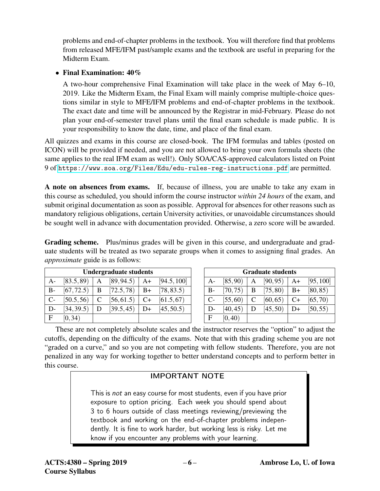problems and end-of-chapter problems in the textbook. You will therefore find that problems from released MFE/IFM past/sample exams and the textbook are useful in preparing for the Midterm Exam.

### • Final Examination:  $40\%$

A two-hour comprehensive Final Examination will take place in the week of May 6–10, 2019. Like the Midterm Exam, the Final Exam will mainly comprise multiple-choice questions similar in style to MFE/IFM problems and end-of-chapter problems in the textbook. The exact date and time will be announced by the Registrar in mid-February. Please do not plan your end-of-semester travel plans until the final exam schedule is made public. It is your responsibility to know the date, time, and place of the final exam.

All quizzes and exams in this course are closed-book. The IFM formulas and tables (posted on ICON) will be provided if needed, and you are not allowed to bring your own formula sheets (the same applies to the real IFM exam as well!). Only SOA/CAS-approved calculators listed on Point 9 of <https://www.soa.org/Files/Edu/edu-rules-reg-instructions.pdf> are permitted.

A note on absences from exams. If, because of illness, you are unable to take any exam in this course as scheduled, you should inform the course instructor *within 24 hours* of the exam, and submit original documentation as soon as possible. Approval for absences for other reasons such as mandatory religious obligations, certain University activities, or unavoidable circumstances should be sought well in advance with documentation provided. Otherwise, a zero score will be awarded.

Grading scheme. Plus/minus grades will be given in this course, and undergraduate and graduate students will be treated as two separate groups when it comes to assigning final grades. An *approximate* guide is as follows:

| <b>Undergraduate students</b> |            |                |            |      |             |
|-------------------------------|------------|----------------|------------|------|-------------|
| $A-$                          | [83.5, 89] | A              | [89, 94.5] | $A+$ | [94.5, 100] |
| $B-$                          | [67, 72.5] | B              | [72.5, 78] | $B+$ | [78, 83.5]  |
| $C-$                          | [50.5, 56] | <sup>-</sup> C | [56, 61.5] | $C+$ | [61.5, 67]  |
| D-                            | [34, 39.5] | D              | [39.5, 45] | D+   | [45, 50.5]  |
| $\mathbf{F}$                  | [0, 34)    |                |            |      |             |

| <b>Graduate students</b> |          |   |          |      |           |
|--------------------------|----------|---|----------|------|-----------|
| A-                       | [85, 90] | A | [90, 95) | $A+$ | [95, 100] |
| B-                       | [70, 75) | B | [75, 80) | $B+$ | [80, 85)  |
| $C-$                     | [55, 60] | C | [60, 65) | $C+$ | [65, 70)  |
| D-                       | [40, 45) | D | [45, 50) | D+   | [50, 55)  |
| F                        | [0, 40)  |   |          |      |           |

These are not completely absolute scales and the instructor reserves the "option" to adjust the cutoffs, depending on the difficulty of the exams. Note that with this grading scheme you are not "graded on a curve," and so you are not competing with fellow students. Therefore, you are not penalized in any way for working together to better understand concepts and to perform better in this course.

### IMPORTANT NOTE

This is not an easy course for most students, even if you have prior exposure to option pricing. Each week you should spend about 3 to 6 hours outside of class meetings reviewing/previewing the textbook and working on the end-of-chapter problems independently. It is fine to work harder, but working less is risky. Let me know if you encounter any problems with your learning.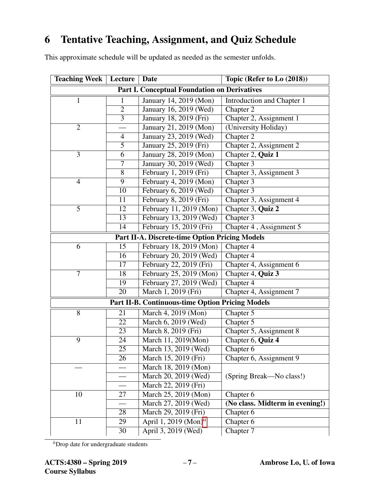## 6 Tentative Teaching, Assignment, and Quiz Schedule

This approximate schedule will be updated as needed as the semester unfolds.

| <b>Teaching Week</b>                                    | Lecture         | <b>Date</b>                         | Topic (Refer to Lo (2018))      |  |  |
|---------------------------------------------------------|-----------------|-------------------------------------|---------------------------------|--|--|
| <b>Part I. Conceptual Foundation on Derivatives</b>     |                 |                                     |                                 |  |  |
| $\mathbf{1}$                                            | 1               | January 14, 2019 (Mon)              | Introduction and Chapter 1      |  |  |
|                                                         | $\overline{2}$  | January 16, 2019 (Wed)              | Chapter 2                       |  |  |
|                                                         | $\overline{3}$  | January 18, 2019 (Fri)              | Chapter 2, Assignment 1         |  |  |
| $\overline{2}$                                          |                 | January 21, 2019 (Mon)              | (University Holiday)            |  |  |
|                                                         | 4               | January 23, 2019 (Wed)              | Chapter 2                       |  |  |
|                                                         | $\overline{5}$  | January 25, 2019 (Fri)              | Chapter 2, Assignment 2         |  |  |
| 3                                                       | 6               | January 28, 2019 (Mon)              | Chapter 2, Quiz 1               |  |  |
|                                                         | 7               | January 30, 2019 (Wed)              | Chapter 3                       |  |  |
|                                                         | 8               | February 1, 2019 (Fri)              | Chapter 3, Assignment 3         |  |  |
| $\overline{4}$                                          | 9               | February 4, 2019 (Mon)              | Chapter 3                       |  |  |
|                                                         | 10              | February 6, 2019 (Wed)              | Chapter 3                       |  |  |
|                                                         | 11              | February 8, 2019 (Fri)              | Chapter 3, Assignment 4         |  |  |
| 5                                                       | 12              | February 11, 2019 (Mon)             | Chapter 3, Quiz 2               |  |  |
|                                                         | 13              | February 13, 2019 (Wed)             | Chapter 3                       |  |  |
|                                                         | 14              | February 15, 2019 (Fri)             | Chapter 4, Assignment 5         |  |  |
| <b>Part II-A. Discrete-time Option Pricing Models</b>   |                 |                                     |                                 |  |  |
| 6                                                       | 15              | February 18, 2019 (Mon)             | Chapter 4                       |  |  |
|                                                         | 16              | February 20, 2019 (Wed)             | Chapter 4                       |  |  |
|                                                         | $\overline{17}$ | February 22, 2019 (Fri)             | Chapter 4, Assignment 6         |  |  |
| $\overline{7}$                                          | 18              | February 25, 2019 (Mon)             | Chapter 4, Quiz 3               |  |  |
|                                                         | 19              | February 27, 2019 (Wed)             | Chapter 4                       |  |  |
|                                                         | 20              | March 1, 2019 (Fri)                 | Chapter 4, Assignment 7         |  |  |
| <b>Part II-B. Continuous-time Option Pricing Models</b> |                 |                                     |                                 |  |  |
| 8                                                       | 21              | March 4, 2019 (Mon)                 | Chapter 5                       |  |  |
|                                                         | 22              | March 6, 2019 ( $\overline{Wed}$ )  | Chapter 5                       |  |  |
|                                                         | 23              | March 8, 2019 (Fri)                 | Chapter 5, Assignment 8         |  |  |
| 9                                                       | 24              | March 11, 2019(Mon)                 | Chapter 6, Quiz 4               |  |  |
|                                                         | 25              | March 13, 2019 (Wed)                | Chapter 6                       |  |  |
|                                                         | 26              | March 15, 2019 (Fri)                | Chapter 6, Assignment 9         |  |  |
|                                                         |                 | March 18, 2019 (Mon)                |                                 |  |  |
|                                                         |                 | March 20, 2019 (Wed)                | (Spring Break—No class!)        |  |  |
|                                                         |                 | March 22, 2019 (Fri)                |                                 |  |  |
| 10                                                      | 27              | March 25, 2019 (Mon)                | Chapter 6                       |  |  |
|                                                         |                 | March 27, 2019 (Wed)                | (No class. Midterm in evening!) |  |  |
|                                                         | 28              | March 29, 2019 (Fri)                | Chapter 6                       |  |  |
| 11                                                      | 29              | April 1, 2019 $(Mon)$ <sup>ii</sup> | Chapter 6                       |  |  |
|                                                         | 30              | April 3, 2019 (Wed)                 | Chapter 7                       |  |  |

<span id="page-6-0"></span>iiDrop date for undergraduate students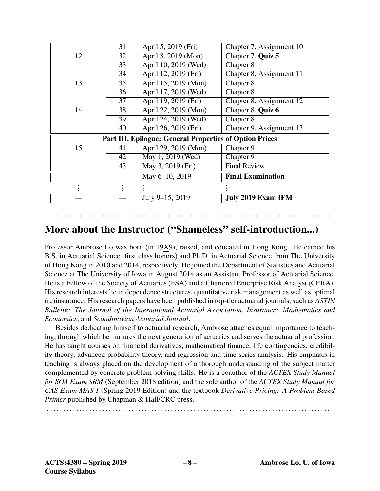|                                                                | 31              | April 5, 2019 (Fri)  | Chapter 7, Assignment 10  |  |  |
|----------------------------------------------------------------|-----------------|----------------------|---------------------------|--|--|
| 12                                                             | 32              | April 8, 2019 (Mon)  | Chapter 7, Quiz 5         |  |  |
|                                                                | $\overline{33}$ | April 10, 2019 (Wed) | Chapter 8                 |  |  |
|                                                                | 34              | April 12, 2019 (Fri) | Chapter 8, Assignment 11  |  |  |
| 13                                                             | 35              | April 15, 2019 (Mon) | Chapter 8                 |  |  |
|                                                                | 36              | April 17, 2019 (Wed) | Chapter 8                 |  |  |
|                                                                | 37              | April 19, 2019 (Fri) | Chapter 8, Assignment 12  |  |  |
| 14                                                             | 38              | April 22, 2019 (Mon) | Chapter 8, Quiz 6         |  |  |
|                                                                | 39              | April 24, 2019 (Wed) | Chapter 8                 |  |  |
|                                                                | 40              | April 26, 2019 (Fri) | Chapter 9, Assignment 13  |  |  |
| <b>Part III. Epilogue: General Properties of Option Prices</b> |                 |                      |                           |  |  |
| 15                                                             | 41              | April 29, 2019 (Mon) | Chapter 9                 |  |  |
|                                                                | 42              | May 1, 2019 (Wed)    | Chapter 9                 |  |  |
|                                                                | 43              | May 3, 2019 (Fri)    | <b>Final Review</b>       |  |  |
|                                                                |                 | May 6-10, 2019       | <b>Final Examination</b>  |  |  |
|                                                                |                 |                      |                           |  |  |
|                                                                |                 | July 9-15, 2019      | <b>July 2019 Exam IFM</b> |  |  |

## More about the Instructor ("Shameless" self-introduction...)

. . . . . . . . . . . . . . . . . . . . . . . . . . . . . . . . . . . . . . . . . . . . . . . . . . . . . . . . . . . . . . . . . . . . . . . . . . . . . . . . . . . . . . . .

Professor Ambrose Lo was born (in 19X9), raised, and educated in Hong Kong. He earned his B.S. in Actuarial Science (first class honors) and Ph.D. in Actuarial Science from The University of Hong Kong in 2010 and 2014, respectively. He joined the Department of Statistics and Actuarial Science at The University of Iowa in August 2014 as an Assistant Professor of Actuarial Science. He is a Fellow of the Society of Actuaries (FSA) and a Chartered Enterprise Risk Analyst (CERA). His research interests lie in dependence structures, quantitative risk management as well as optimal (re)insurance. His research papers have been published in top-tier actuarial journals, such as *ASTIN Bulletin: The Journal of the International Actuarial Association*, *Insurance: Mathematics and Economics*, and *Scandinavian Actuarial Journal*.

Besides dedicating himself to actuarial research, Ambrose attaches equal importance to teaching, through which he nurtures the next generation of actuaries and serves the actuarial profession. He has taught courses on financial derivatives, mathematical finance, life contingencies, credibility theory, advanced probability theory, and regression and time series analysis. His emphasis in teaching is always placed on the development of a thorough understanding of the subject matter complemented by concrete problem-solving skills. He is a coauthor of the *ACTEX Study Manual for SOA Exam SRM* (September 2018 edition) and the sole author of the *ACTEX Study Manual for CAS Exam MAS-I* (Spring 2019 Edition) and the textbook *Derivative Pricing: A Problem-Based Primer* published by Chapman & Hall/CRC press.